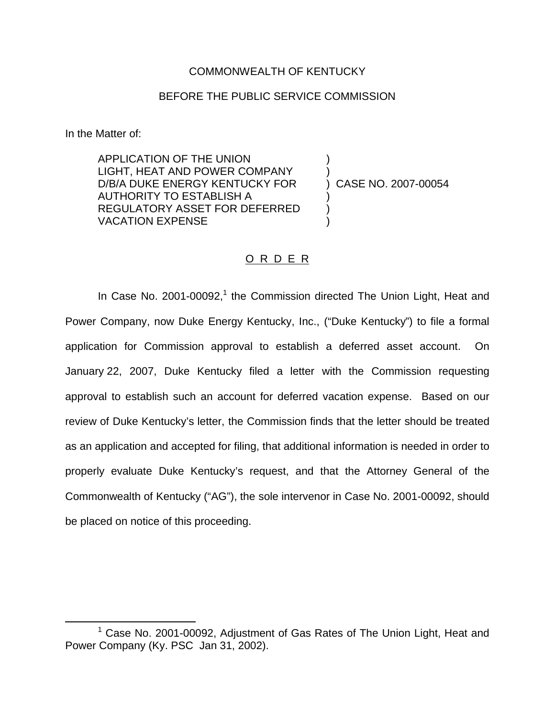### COMMONWEALTH OF KENTUCKY

## BEFORE THE PUBLIC SERVICE COMMISSION

In the Matter of:

APPLICATION OF THE UNION ) LIGHT, HEAT AND POWER COMPANY D/B/A DUKE ENERGY KENTUCKY FOR ) CASE NO. 2007-00054 AUTHORITY TO ESTABLISH A ) REGULATORY ASSET FOR DEFERRED ) VACATION EXPENSE )

## O R D E R

In Case No. 2001-00092,<sup>1</sup> the Commission directed The Union Light, Heat and Power Company, now Duke Energy Kentucky, Inc., ("Duke Kentucky") to file a formal application for Commission approval to establish a deferred asset account. On January 22, 2007, Duke Kentucky filed a letter with the Commission requesting approval to establish such an account for deferred vacation expense. Based on our review of Duke Kentucky's letter, the Commission finds that the letter should be treated as an application and accepted for filing, that additional information is needed in order to properly evaluate Duke Kentucky's request, and that the Attorney General of the Commonwealth of Kentucky ("AG"), the sole intervenor in Case No. 2001-00092, should be placed on notice of this proceeding.

 $1$  Case No. 2001-00092, Adjustment of Gas Rates of The Union Light, Heat and Power Company (Ky. PSC Jan 31, 2002).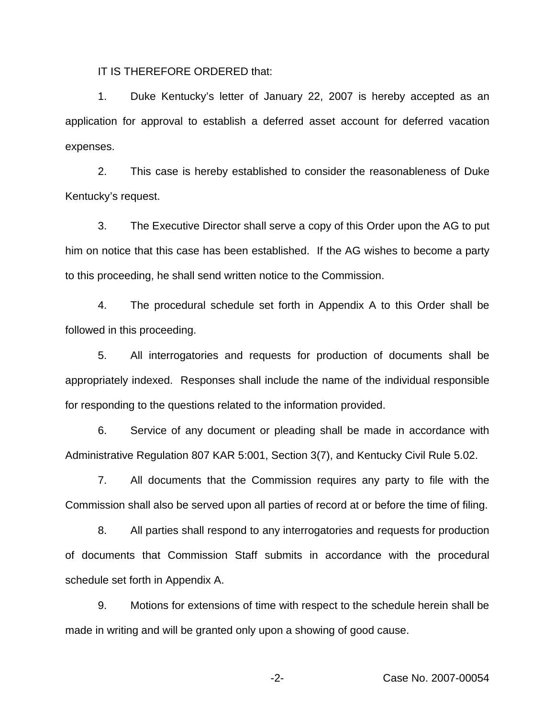IT IS THEREFORE ORDERED that:

1. Duke Kentucky's letter of January 22, 2007 is hereby accepted as an application for approval to establish a deferred asset account for deferred vacation expenses.

2. This case is hereby established to consider the reasonableness of Duke Kentucky's request.

3. The Executive Director shall serve a copy of this Order upon the AG to put him on notice that this case has been established. If the AG wishes to become a party to this proceeding, he shall send written notice to the Commission.

4. The procedural schedule set forth in Appendix A to this Order shall be followed in this proceeding.

5. All interrogatories and requests for production of documents shall be appropriately indexed. Responses shall include the name of the individual responsible for responding to the questions related to the information provided.

6. Service of any document or pleading shall be made in accordance with Administrative Regulation 807 KAR 5:001, Section 3(7), and Kentucky Civil Rule 5.02.

7. All documents that the Commission requires any party to file with the Commission shall also be served upon all parties of record at or before the time of filing.

8. All parties shall respond to any interrogatories and requests for production of documents that Commission Staff submits in accordance with the procedural schedule set forth in Appendix A.

9. Motions for extensions of time with respect to the schedule herein shall be made in writing and will be granted only upon a showing of good cause.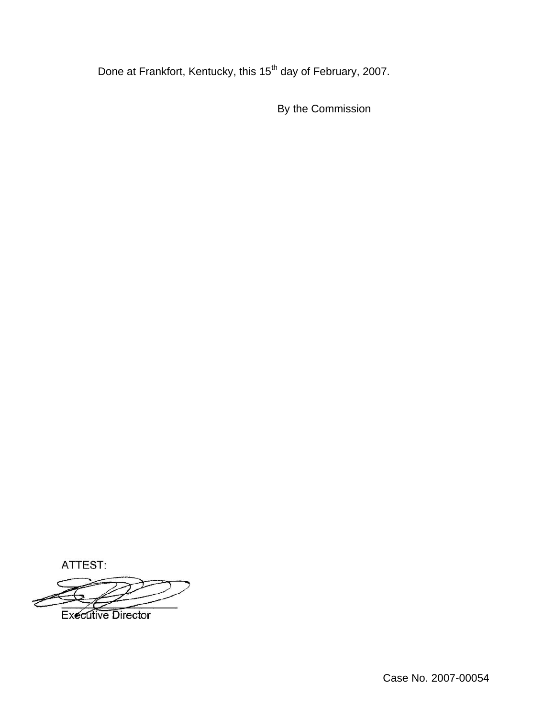Done at Frankfort, Kentucky, this 15<sup>th</sup> day of February, 2007.

By the Commission

ATTEST:

**Executive Director**